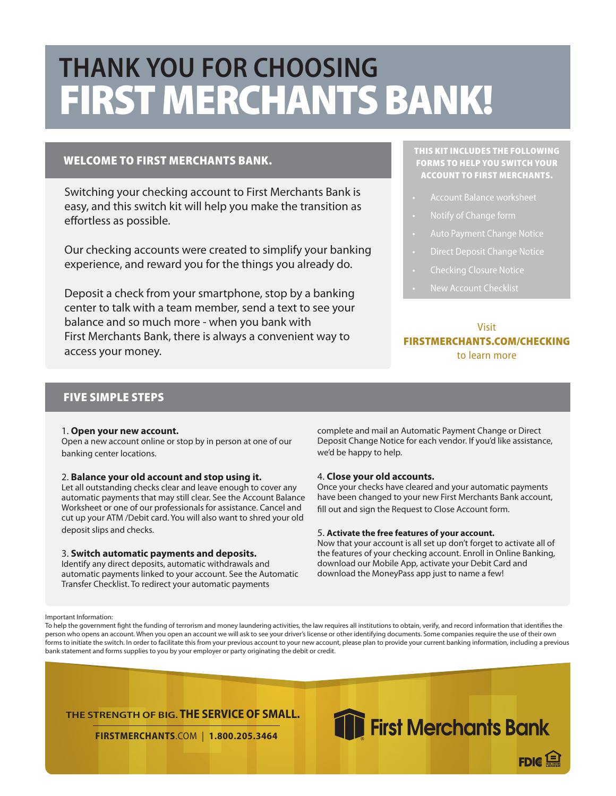# **Thank you for choosing** FIRST MERCHANTS BANK!

### welcome to first merchants bank.

Switching your checking account to First Merchants Bank is easy, and this switch kit will help you make the transition as effortless as possible.

Our checking accounts were created to simplify your banking experience, and reward you for the things you already do.

Deposit a check from your smartphone, stop by a banking center to talk with a team member, send a text to see your balance and so much more - when you bank with First Merchants Bank, there is always a convenient way to access your money.

### This kit includes the following forms to help you switch your account to First merchants.

- Account Balance worksheet
- 
- 
- Direct Deposit Change Notice
- 
- New Account Checklist

### Visit FirstMerchants.com/Checking to learn more

### FIVE SIMPLE STEPS

#### 1. **Open your new account.**

Open a new account online or stop by in person at one of our banking center locations.

#### 2. **Balance your old account and stop using it.**

Let all outstanding checks clear and leave enough to cover any automatic payments that may still clear. See the Account Balance Worksheet or one of our professionals for assistance. Cancel and cut up your ATM /Debit card. You will also want to shred your old deposit slips and checks.

#### 3. **Switch automatic payments and deposits.**

Identify any direct deposits, automatic withdrawals and automatic payments linked to your account. See the Automatic Transfer Checklist. To redirect your automatic payments

complete and mail an Automatic Payment Change or Direct Deposit Change Notice for each vendor. If you'd like assistance, we'd be happy to help.

#### 4. **Close your old accounts.**

Once your checks have cleared and your automatic payments have been changed to your new First Merchants Bank account, fill out and sign the Request to Close Account form.

#### 5. **Activate the free features of your account.**

Now that your account is all set up don't forget to activate all of the features of your checking account. Enroll in Online Banking, download our Mobile App, activate your Debit Card and download the MoneyPass app just to name a few!

#### Important Information:

To help the government fight the funding of terrorism and money laundering activities, the law requires all institutions to obtain, verify, and record information that identifies the person who opens an account. When you open an account we will ask to see your driver's license or other identifying documents. Some companies require the use of their own forms to initiate the switch. In order to facilitate this from your previous account to your new account, please plan to provide your current banking information, including a previous bank statement and forms supplies to you by your employer or party originating the debit or credit.

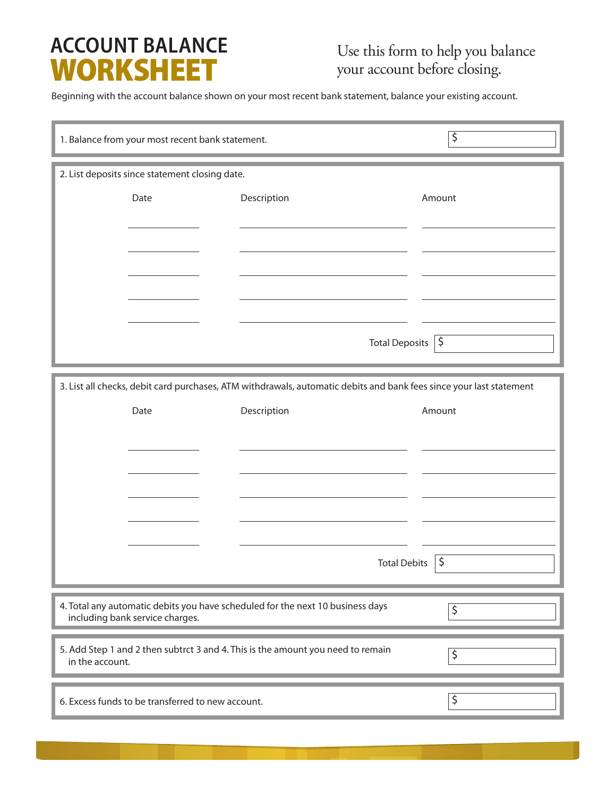## **ACCOUNT BALANCE** WORKSHEET

Beginning with the account balance shown on your most recent bank statement, balance your existing account.

|                                                                                                                              | 1. Balance from your most recent bank statement. |                               | $\overline{\varsigma}$ |
|------------------------------------------------------------------------------------------------------------------------------|--------------------------------------------------|-------------------------------|------------------------|
|                                                                                                                              | 2. List deposits since statement closing date.   |                               |                        |
|                                                                                                                              | Date                                             | Description                   | Amount                 |
|                                                                                                                              |                                                  |                               |                        |
|                                                                                                                              |                                                  |                               |                        |
|                                                                                                                              |                                                  |                               |                        |
|                                                                                                                              |                                                  |                               |                        |
|                                                                                                                              |                                                  | Total Deposits $  \mathsf{S}$ |                        |
|                                                                                                                              |                                                  |                               |                        |
| 3. List all checks, debit card purchases, ATM withdrawals, automatic debits and bank fees since your last statement          |                                                  |                               |                        |
|                                                                                                                              | Date                                             | Description                   | Amount                 |
|                                                                                                                              |                                                  |                               |                        |
|                                                                                                                              |                                                  |                               |                        |
|                                                                                                                              |                                                  |                               |                        |
|                                                                                                                              |                                                  |                               |                        |
|                                                                                                                              |                                                  | <b>Total Debits</b>           | \$                     |
| 4. Total any automatic debits you have scheduled for the next 10 business days                                               |                                                  |                               |                        |
| \$<br>including bank service charges.                                                                                        |                                                  |                               |                        |
| 5. Add Step 1 and 2 then subtrct 3 and 4. This is the amount you need to remain<br>$\overline{\varsigma}$<br>in the account. |                                                  |                               |                        |
| \$<br>6. Excess funds to be transferred to new account.                                                                      |                                                  |                               |                        |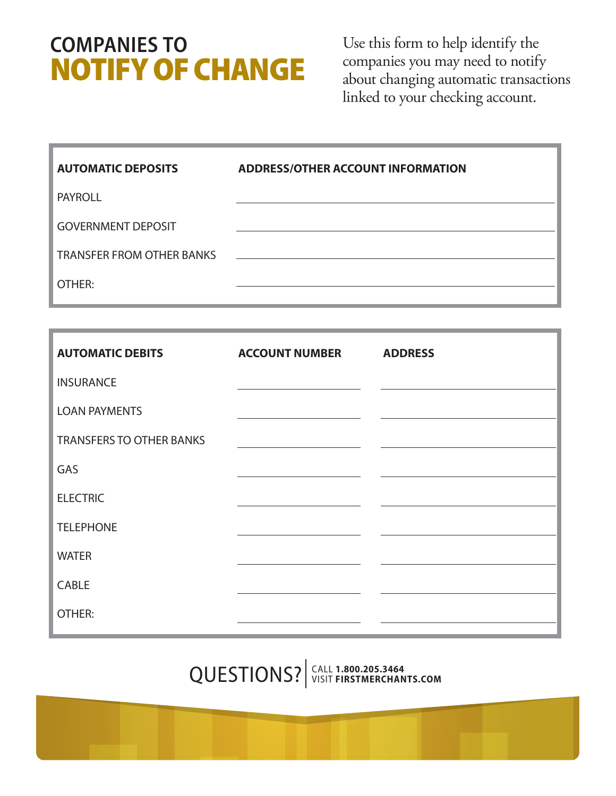## **Companies to** notify of change

Use this form to help identify the companies you may need to notify about changing automatic transactions linked to your checking account.

| <b>AUTOMATIC DEPOSITS</b>        | <b>ADDRESS/OTHER ACCOUNT INFORMATION</b> |
|----------------------------------|------------------------------------------|
| <b>PAYROLL</b>                   |                                          |
| <b>GOVERNMENT DEPOSIT</b>        |                                          |
| <b>TRANSFER FROM OTHER BANKS</b> |                                          |
| OTHER:                           |                                          |

| <b>AUTOMATIC DEBITS</b>         | <b>ACCOUNT NUMBER</b> | <b>ADDRESS</b> |
|---------------------------------|-----------------------|----------------|
| <b>INSURANCE</b>                |                       |                |
| <b>LOAN PAYMENTS</b>            |                       |                |
| <b>TRANSFERS TO OTHER BANKS</b> |                       |                |
| GAS                             |                       |                |
| <b>ELECTRIC</b>                 |                       |                |
| <b>TELEPHONE</b>                |                       |                |
| <b>WATER</b>                    |                       |                |
| CABLE                           |                       |                |
| OTHER:                          |                       |                |

Call **1.800.205.3464** QUESTIONS? visit **FIRSTMERCHANts.com**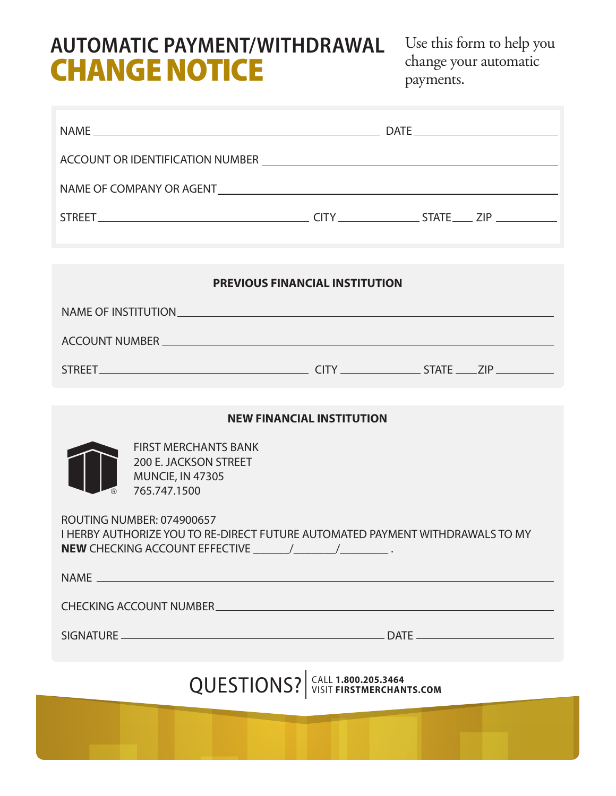## **AUTOMATIC PAYMENT/WITHDRAWAL CHANGE NOTICE**

Use this form to help you change your automatic payments.

| <b>PREVIOUS FINANCIAL INSTITUTION</b>                                                                             |                                  |  |  |
|-------------------------------------------------------------------------------------------------------------------|----------------------------------|--|--|
|                                                                                                                   |                                  |  |  |
| ACCOUNT NUMBER CONTRACTED AND RESIDENCE ACCOUNT NUMBER                                                            |                                  |  |  |
|                                                                                                                   |                                  |  |  |
|                                                                                                                   |                                  |  |  |
|                                                                                                                   | <b>NEW FINANCIAL INSTITUTION</b> |  |  |
| <b>FIRST MERCHANTS BANK</b><br>200 E. JACKSON STREET<br><b>MUNCIE, IN 47305</b><br>765.747.1500                   |                                  |  |  |
| <b>ROUTING NUMBER: 074900657</b><br>I HERBY AUTHORIZE YOU TO RE-DIRECT FUTURE AUTOMATED PAYMENT WITHDRAWALS TO MY |                                  |  |  |
|                                                                                                                   |                                  |  |  |
| CHECKING ACCOUNT NUMBER CONTRACT AND A RESIDENCE IN A RESIDENCE OF A RESIDENCE OF A RESIDENCE OF A RESIDENCE O    |                                  |  |  |
|                                                                                                                   |                                  |  |  |
| QUESTIONS?   CALL 1.800.205.3464                                                                                  |                                  |  |  |
|                                                                                                                   |                                  |  |  |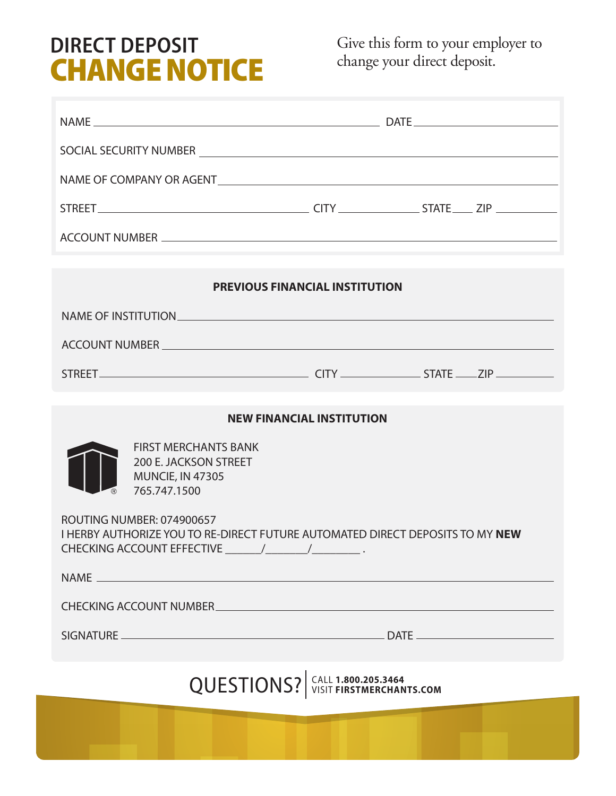## **DIRECT DEPOSIT CHANGE NOTICE**

Give this form to your employer to change your direct deposit.

| <b>PREVIOUS FINANCIAL INSTITUTION</b>                                                                                                                                                                                          |  |  |  |
|--------------------------------------------------------------------------------------------------------------------------------------------------------------------------------------------------------------------------------|--|--|--|
|                                                                                                                                                                                                                                |  |  |  |
|                                                                                                                                                                                                                                |  |  |  |
| ACCOUNT NUMBER CONTRACTED AND RESIDENCE IN A SERIES OF THE CONTRACTED AND RELEASED FOR THE CONTRACTED AND RELEASED FOR THE CONTRACTED AND RELEASED FOR THE CONTRACTED AND RELEASED FOR THE CONTRACTED AND RELEASED FOR THE CON |  |  |  |
|                                                                                                                                                                                                                                |  |  |  |
| <b>NEW FINANCIAL INSTITUTION</b>                                                                                                                                                                                               |  |  |  |
| <b>FIRST MERCHANTS BANK</b><br>200 E. JACKSON STREET<br><b>MUNCIE, IN 47305</b><br>765.747.1500                                                                                                                                |  |  |  |
| <b>ROUTING NUMBER: 074900657</b><br>I HERBY AUTHORIZE YOU TO RE-DIRECT FUTURE AUTOMATED DIRECT DEPOSITS TO MY NEW                                                                                                              |  |  |  |
| <b>NAME</b>                                                                                                                                                                                                                    |  |  |  |
| CHECKING ACCOUNT NUMBER <b>AND THE REAL PROPERTY OF A REAL PROPERTY</b>                                                                                                                                                        |  |  |  |
|                                                                                                                                                                                                                                |  |  |  |
| QUESTIONS?   CALL 1.800.205.3464                                                                                                                                                                                               |  |  |  |
|                                                                                                                                                                                                                                |  |  |  |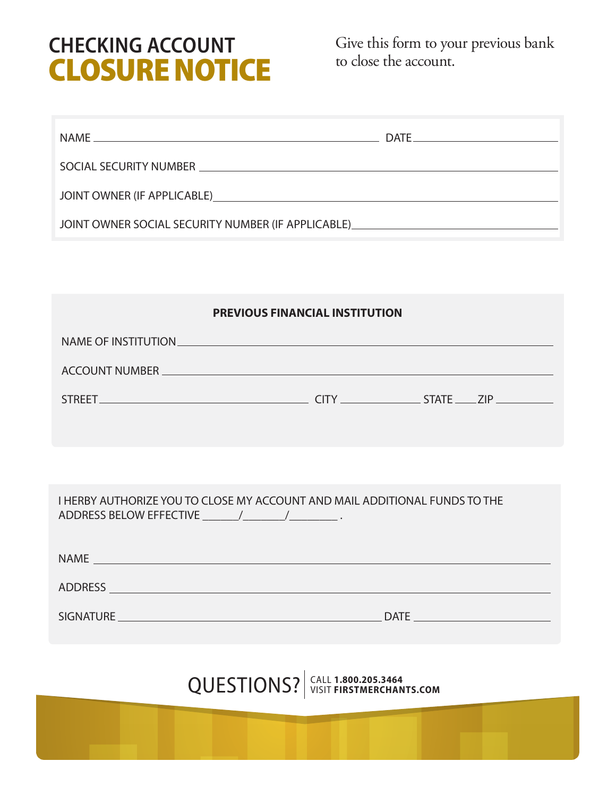## **Checking Account** closure notice

Give this form to your previous bank to close the account.

|                                                                                                                                                                                                                                | DATE |
|--------------------------------------------------------------------------------------------------------------------------------------------------------------------------------------------------------------------------------|------|
|                                                                                                                                                                                                                                |      |
| JOINT OWNER (IF APPLICABLE) And the state of the state of the state of the state of the state of the state of the state of the state of the state of the state of the state of the state of the state of the state of the stat |      |
| JOINT OWNER SOCIAL SECURITY NUMBER (IF APPLICABLE) <b>And CONTROLLING CONTROL</b>                                                                                                                                              |      |
|                                                                                                                                                                                                                                |      |

| <b>PREVIOUS FINANCIAL INSTITUTION</b>                                                                                                                                                                                          |                                  |  |  |  |
|--------------------------------------------------------------------------------------------------------------------------------------------------------------------------------------------------------------------------------|----------------------------------|--|--|--|
| NAME OF INSTITUTION                                                                                                                                                                                                            |                                  |  |  |  |
| ACCOUNT NUMBER CONTRACTED AND RESIDENCE IN A SERIES OF THE CONTRACTED AND RELEASED FOR THE CONTRACTED AND RELEASED FOR THE CONTRACTED AND RELEASED FOR THE CONTRACTED AND RELEASED FOR THE CONTRACTED AND RELEASED FOR THE CON |                                  |  |  |  |
|                                                                                                                                                                                                                                |                                  |  |  |  |
|                                                                                                                                                                                                                                |                                  |  |  |  |
|                                                                                                                                                                                                                                |                                  |  |  |  |
| I HERBY AUTHORIZE YOU TO CLOSE MY ACCOUNT AND MAIL ADDITIONAL FUNDS TO THE                                                                                                                                                     |                                  |  |  |  |
|                                                                                                                                                                                                                                |                                  |  |  |  |
|                                                                                                                                                                                                                                |                                  |  |  |  |
|                                                                                                                                                                                                                                |                                  |  |  |  |
|                                                                                                                                                                                                                                |                                  |  |  |  |
|                                                                                                                                                                                                                                | QUESTIONS? SIGNAL 1.800.205.3464 |  |  |  |
|                                                                                                                                                                                                                                |                                  |  |  |  |